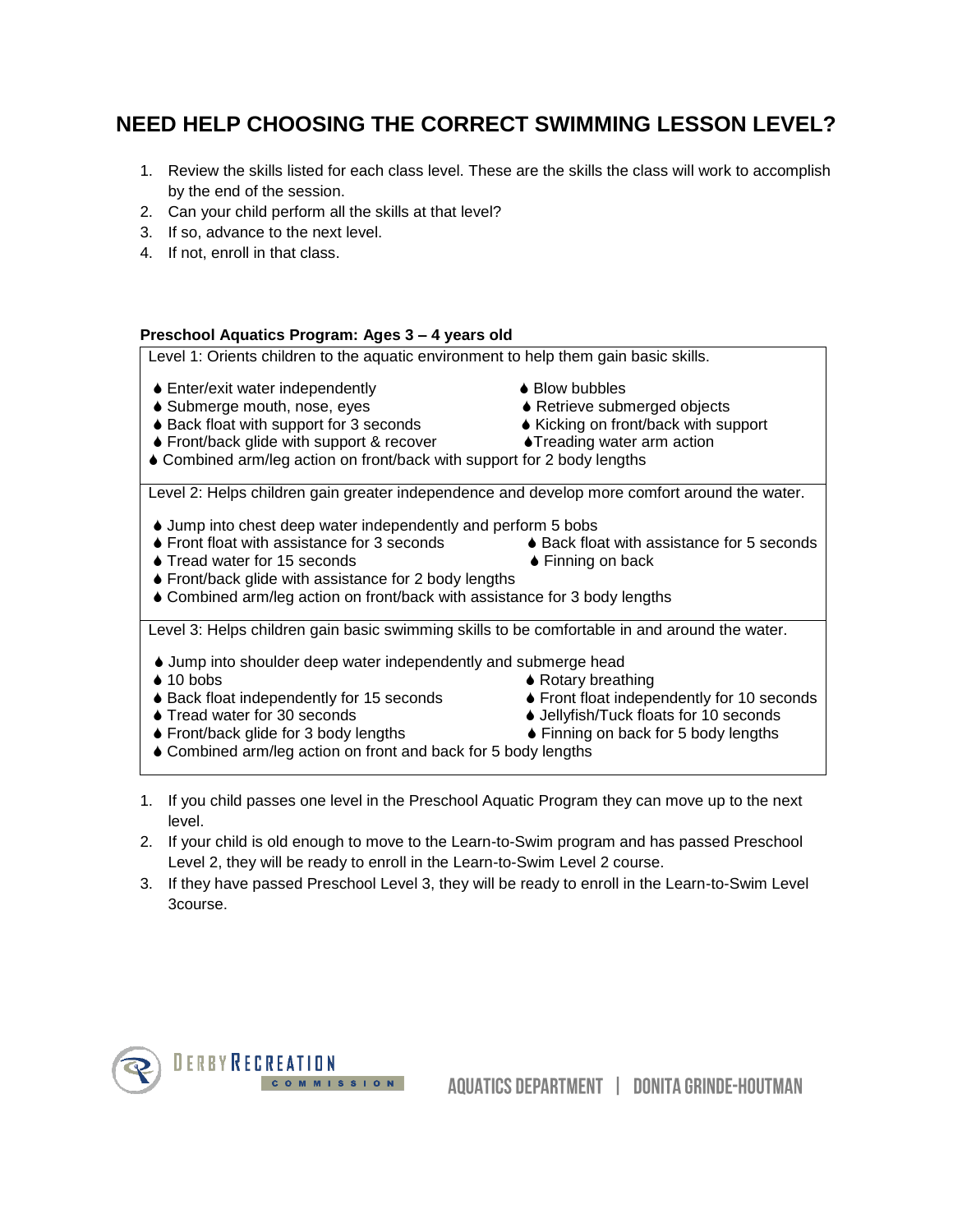## **NEED HELP CHOOSING THE CORRECT SWIMMING LESSON LEVEL?**

- 1. Review the skills listed for each class level. These are the skills the class will work to accomplish by the end of the session.
- 2. Can your child perform all the skills at that level?
- 3. If so, advance to the next level.
- 4. If not, enroll in that class.

## **Preschool Aquatics Program: Ages 3 – 4 years old**

Level 1: Orients children to the aquatic environment to help them gain basic skills.

- $\bullet$  Enter/exit water independently  $\bullet$  Blow bubbles
- ◆ Submerge mouth, nose, eyes **A** Retrieve submerged objects
- ◆ Back float with support for 3 seconds → Kicking on front/back with support
- Front/back glide with support & recover Treading water arm action
- 
- 
- -
- Combined arm/leg action on front/back with support for 2 body lengths

Level 2: Helps children gain greater independence and develop more comfort around the water.

- Jump into chest deep water independently and perform 5 bobs
- Front float with assistance for 3 seconds Back float with assistance for 5 seconds
- ♦ Tread water for 15 seconds **Example 26 Finning on back**
- -
- ♦ Front/back glide with assistance for 2 body lengths
- Combined arm/leg action on front/back with assistance for 3 body lengths

Level 3: Helps children gain basic swimming skills to be comfortable in and around the water.

- Jump into shoulder deep water independently and submerge head
- 
- 
- 
- ◆ 10 bobs Rotary breathing
- Back float independently for 15 seconds Front float independently for 10 seconds
- ♦ Tread water for 30 seconds **Jellyfish/Tuck floats for 10 seconds**
- ◆ Front/back glide for 3 body lengths 
→ Finning on back for 5 body lengths
- 
- Combined arm/leg action on front and back for 5 body lengths
- 1. If you child passes one level in the Preschool Aquatic Program they can move up to the next level.
- 2. If your child is old enough to move to the Learn-to-Swim program and has passed Preschool Level 2, they will be ready to enroll in the Learn-to-Swim Level 2 course.
- 3. If they have passed Preschool Level 3, they will be ready to enroll in the Learn-to-Swim Level 3course.